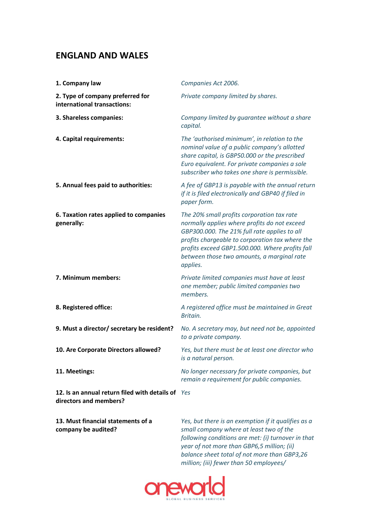## **ENGLAND AND WALES**

| 1. Company law                                                              | Companies Act 2006.                                                                                                                                                                                                                                                                                        |
|-----------------------------------------------------------------------------|------------------------------------------------------------------------------------------------------------------------------------------------------------------------------------------------------------------------------------------------------------------------------------------------------------|
| 2. Type of company preferred for<br>international transactions:             | Private company limited by shares.                                                                                                                                                                                                                                                                         |
| 3. Shareless companies:                                                     | Company limited by guarantee without a share<br>capital.                                                                                                                                                                                                                                                   |
| 4. Capital requirements:                                                    | The 'authorised minimum', in relation to the<br>nominal value of a public company's allotted<br>share capital, is GBP50.000 or the prescribed<br>Euro equivalent. For private companies a sole<br>subscriber who takes one share is permissible.                                                           |
| 5. Annual fees paid to authorities:                                         | A fee of GBP13 is payable with the annual return<br>if it is filed electronically and GBP40 if filed in<br>paper form.                                                                                                                                                                                     |
| 6. Taxation rates applied to companies<br>generally:                        | The 20% small profits corporation tax rate<br>normally applies where profits do not exceed<br>GBP300.000. The 21% full rate applies to all<br>profits chargeable to corporation tax where the<br>profits exceed GBP1.500.000. Where profits fall<br>between those two amounts, a marginal rate<br>applies. |
| 7. Minimum members:                                                         | Private limited companies must have at least<br>one member; public limited companies two<br>members.                                                                                                                                                                                                       |
| 8. Registered office:                                                       | A registered office must be maintained in Great<br>Britain.                                                                                                                                                                                                                                                |
| 9. Must a director/ secretary be resident?                                  | No. A secretary may, but need not be, appointed<br>to a private company.                                                                                                                                                                                                                                   |
| 10. Are Corporate Directors allowed?                                        | Yes, but there must be at least one director who<br>is a natural person.                                                                                                                                                                                                                                   |
| 11. Meetings:                                                               | No longer necessary for private companies, but<br>remain a requirement for public companies.                                                                                                                                                                                                               |
| 12. Is an annual return filed with details of Yes<br>directors and members? |                                                                                                                                                                                                                                                                                                            |
| 13. Must financial statements of a<br>company be audited?                   | Yes, but there is an exemption if it qualifies as a<br>small company where at least two of the                                                                                                                                                                                                             |

*following conditions are met: (i) turnover in that year of not more than GBP6,5 million; (ii) balance sheet total of not more than GBP3,26 million; (iii) fewer than 50 employees/*